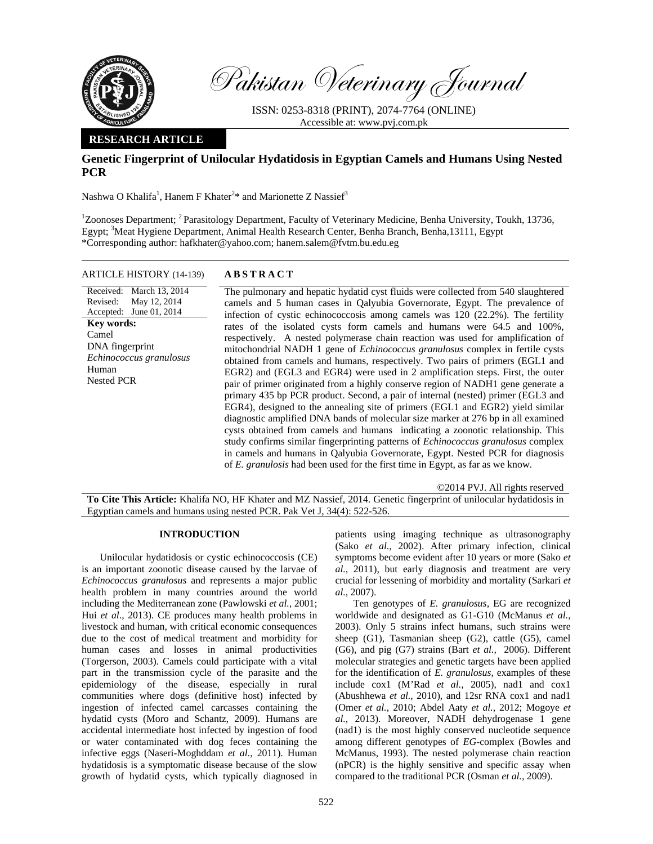

Pakistan Veterinary Journal

ISSN: 0253-8318 (PRINT), 2074-7764 (ONLINE) Accessible at: www.pvj.com.pk

# **RESEARCH ARTICLE**

# **Genetic Fingerprint of Unilocular Hydatidosis in Egyptian Camels and Humans Using Nested PCR**

Nashwa O Khalifa<sup>1</sup>, Hanem F Khater<sup>2\*</sup> and Marionette Z Nassief<sup>3</sup>

<sup>1</sup>Zoonoses Department; <sup>2</sup> Parasitology Department, Faculty of Veterinary Medicine, Benha University, Toukh, 13736, Egypt; <sup>3</sup>Meat Hygiene Department, Animal Health Research Center, Benha Branch, Benha, 13111, Egypt \*Corresponding author: hafkhater@yahoo.com; hanem.salem@fvtm.bu.edu.eg

## ARTICLE HISTORY (14-139) **ABSTRACT**

Received: March 13, 2014 Revised: Accepted: June 01, 2014 May 12, 2014 **Key words:**  Camel DNA fingerprint *Echinococcus granulosus*  Human Nested PCR

 The pulmonary and hepatic hydatid cyst fluids were collected from 540 slaughtered camels and 5 human cases in Qalyubia Governorate, Egypt. The prevalence of infection of cystic echinococcosis among camels was 120 (22.2%). The fertility rates of the isolated cysts form camels and humans were 64.5 and 100%, respectively. A nested polymerase chain reaction was used for amplification of mitochondrial NADH 1 gene of *Echinococcus granulosus* complex in fertile cysts obtained from camels and humans, respectively. Two pairs of primers (EGL1 and EGR2) and (EGL3 and EGR4) were used in 2 amplification steps. First, the outer pair of primer originated from a highly conserve region of NADH1 gene generate a primary 435 bp PCR product. Second, a pair of internal (nested) primer (EGL3 and EGR4), designed to the annealing site of primers (EGL1 and EGR2) yield similar diagnostic amplified DNA bands of molecular size marker at 276 bp in all examined cysts obtained from camels and humans indicating a zoonotic relationship. This study confirms similar fingerprinting patterns of *Echinococcus granulosus* complex in camels and humans in Qalyubia Governorate, Egypt. Nested PCR for diagnosis of *E. granulosis* had been used for the first time in Egypt, as far as we know.

©2014 PVJ. All rights reserved

**To Cite This Article:** Khalifa NO, HF Khater and MZ Nassief, 2014. Genetic fingerprint of unilocular hydatidosis in Egyptian camels and humans using nested PCR. Pak Vet J, 34(4): 522-526.

### **INTRODUCTION**

Unilocular hydatidosis or cystic echinococcosis (CE) is an important zoonotic disease caused by the larvae of *Echinococcus granulosus* and represents a major public health problem in many countries around the world including the Mediterranean zone (Pawlowski *et al.,* 2001; Hui *et al.*, 2013). CE produces many health problems in livestock and human, with critical economic consequences due to the cost of medical treatment and morbidity for human cases and losses in animal productivities (Torgerson, 2003). Camels could participate with a vital part in the transmission cycle of the parasite and the epidemiology of the disease, especially in rural communities where dogs (definitive host) infected by ingestion of infected camel carcasses containing the hydatid cysts (Moro and Schantz, 2009). Humans are accidental intermediate host infected by ingestion of food or water contaminated with dog feces containing the infective eggs (Naseri-Moghddam *et al.,* 2011). Human hydatidosis is a symptomatic disease because of the slow growth of hydatid cysts, which typically diagnosed in

patients using imaging technique as ultrasonography (Sako *et al.,* 2002). After primary infection, clinical symptoms become evident after 10 years or more (Sako *et al.,* 2011), but early diagnosis and treatment are very crucial for lessening of morbidity and mortality (Sarkari *et al.,* 2007).

Ten genotypes of *E. granulosus,* EG are recognized worldwide and designated as G1-G10 (McManus *et al.,*  2003). Only 5 strains infect humans, such strains were sheep (G1), Tasmanian sheep (G2), cattle (G5), camel (G6), and pig (G7) strains (Bart *et al.,* 2006). Different molecular strategies and genetic targets have been applied for the identification of *E. granulosus,* examples of these include cox1 (M'Rad et al., 2005), nad1 and cox1 (Abushhewa *et al.,* 2010), and 12sr RNA cox1 and nad1 (Omer *et al.,* 2010; Abdel Aaty *et al.,* 2012; Mogoye *et al.,* 2013). Moreover, NADH dehydrogenase 1 gene (nad1) is the most highly conserved nucleotide sequence among different genotypes of *EG*-complex (Bowles and McManus, 1993). The nested polymerase chain reaction (nPCR) is the highly sensitive and specific assay when compared to the traditional PCR (Osman *et al.,* 2009).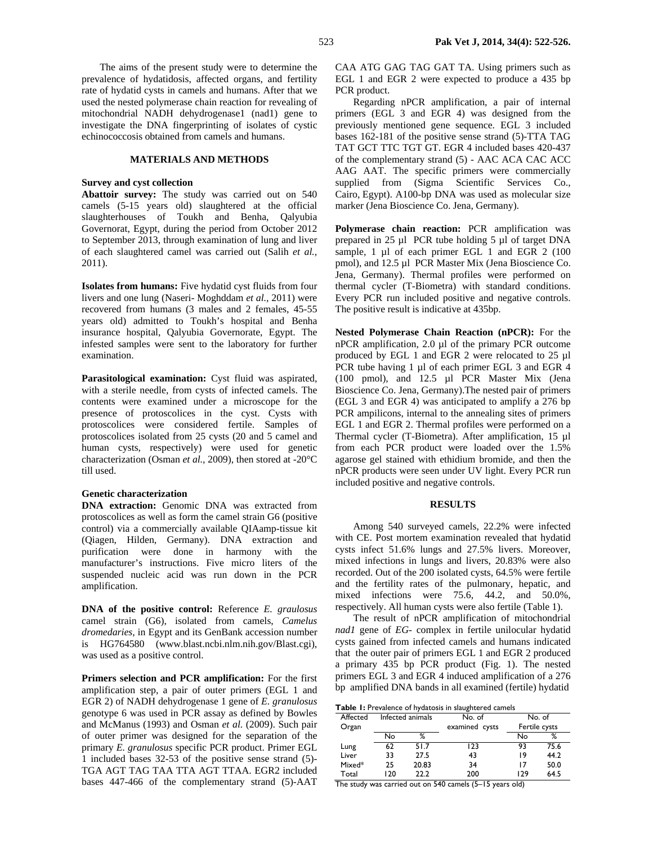The aims of the present study were to determine the prevalence of hydatidosis, affected organs, and fertility rate of hydatid cysts in camels and humans. After that we used the nested polymerase chain reaction for revealing of mitochondrial NADH dehydrogenase1 (nad1) gene to investigate the DNA fingerprinting of isolates of cystic echinococcosis obtained from camels and humans.

### **MATERIALS AND METHODS**

## **Survey and cyst collection**

**Abattoir survey:** The study was carried out on 540 camels (5-15 years old) slaughtered at the official slaughterhouses of Toukh and Benha, Qalyubia Governorat, Egypt, during the period from October 2012 to September 2013, through examination of lung and liver of each slaughtered camel was carried out (Salih *et al.,*  2011).

**Isolates from humans:** Five hydatid cyst fluids from four livers and one lung (Naseri- Moghddam *et al.,* 2011) were recovered from humans (3 males and 2 females, 45-55 years old) admitted to Toukh's hospital and Benha insurance hospital, Qalyubia Governorate, Egypt. The infested samples were sent to the laboratory for further examination.

**Parasitological examination:** Cyst fluid was aspirated, with a sterile needle, from cysts of infected camels. The contents were examined under a microscope for the presence of protoscolices in the cyst. Cysts with protoscolices were considered fertile. Samples of protoscolices isolated from 25 cysts (20 and 5 camel and human cysts, respectively) were used for genetic characterization (Osman *et al.,* 2009), then stored at -20°C till used.

## **Genetic characterization**

**DNA extraction:** Genomic DNA was extracted from protoscolices as well as form the camel strain G6 (positive control) via a commercially available QIAamp-tissue kit (Qiagen, Hilden, Germany). DNA extraction and purification were done in harmony with the manufacturer's instructions. Five micro liters of the suspended nucleic acid was run down in the PCR amplification.

**DNA of the positive control:** Reference *E. graulosus*  camel strain (G6), isolated from camels, *Camelus dromedaries,* in Egypt and its GenBank accession number is HG764580 (www.blast.ncbi.nlm.nih.gov/Blast.cgi), was used as a positive control.

**Primers selection and PCR amplification:** For the first amplification step, a pair of outer primers (EGL 1 and EGR 2) of NADH dehydrogenase 1 gene of *E. granulosus* genotype 6 was used in PCR assay as defined by Bowles and McManus (1993) and Osman *et al.* (2009). Such pair of outer primer was designed for the separation of the primary *E. granulosus* specific PCR product. Primer EGL 1 included bases 32-53 of the positive sense strand (5)- TGA AGT TAG TAA TTA AGT TTAA. EGR2 included bases 447-466 of the complementary strand (5)-AAT CAA ATG GAG TAG GAT TA. Using primers such as EGL 1 and EGR 2 were expected to produce a 435 bp PCR product.

Regarding nPCR amplification, a pair of internal primers (EGL 3 and EGR 4) was designed from the previously mentioned gene sequence. EGL 3 included bases 162-181 of the positive sense strand (5)-TTA TAG TAT GCT TTC TGT GT. EGR 4 included bases 420-437 of the complementary strand (5) - AAC ACA CAC ACC AAG AAT. The specific primers were commercially supplied from (Sigma Scientific Services Co., Cairo, Egypt). A100-bp DNA was used as molecular size marker (Jena Bioscience Co. Jena, Germany).

**Polymerase chain reaction:** PCR amplification was prepared in 25 µl PCR tube holding 5 µl of target DNA sample, 1 µl of each primer EGL 1 and EGR 2 (100 pmol), and 12.5 µl PCR Master Mix (Jena Bioscience Co. Jena, Germany). Thermal profiles were performed on thermal cycler (T-Biometra) with standard conditions. Every PCR run included positive and negative controls. The positive result is indicative at 435bp.

**Nested Polymerase Chain Reaction (nPCR):** For the nPCR amplification, 2.0 µl of the primary PCR outcome produced by EGL 1 and EGR 2 were relocated to 25 µl PCR tube having 1 µl of each primer EGL 3 and EGR 4 (100 pmol), and 12.5 µl PCR Master Mix (Jena Bioscience Co. Jena, Germany).The nested pair of primers (EGL 3 and EGR 4) was anticipated to amplify a 276 bp PCR ampilicons, internal to the annealing sites of primers EGL 1 and EGR 2. Thermal profiles were performed on a Thermal cycler (T-Biometra). After amplification, 15 ul from each PCR product were loaded over the 1.5% agarose gel stained with ethidium bromide, and then the nPCR products were seen under UV light. Every PCR run included positive and negative controls.

## **RESULTS**

Among 540 surveyed camels, 22.2% were infected with CE. Post mortem examination revealed that hydatid cysts infect 51.6% lungs and 27.5% livers. Moreover, mixed infections in lungs and livers, 20.83% were also recorded. Out of the 200 isolated cysts, 64.5% were fertile and the fertility rates of the pulmonary, hepatic, and mixed infections were 75.6, 44.2, and 50.0%, respectively. All human cysts were also fertile (Table 1).

The result of nPCR amplification of mitochondrial *nad1* gene of *EG-* complex in fertile unilocular hydatid cysts gained from infected camels and humans indicated that the outer pair of primers EGL 1 and EGR 2 produced a primary 435 bp PCR product (Fig. 1). The nested primers EGL 3 and EGR 4 induced amplification of a 276 bp amplified DNA bands in all examined (fertile) hydatid

| Table 1: Prevalence of hydatosis in slaughtered camels |  |
|--------------------------------------------------------|--|

| Affected | Infected animals |       | No. of         | No. of        |      |  |
|----------|------------------|-------|----------------|---------------|------|--|
| Organ    |                  |       | examined cysts | Fertile cysts |      |  |
|          | No               | ℅     |                | No            | %    |  |
| Lung     | 62               | 51.7  | 123            | 93            | 75.6 |  |
| Liver    | 33               | 27.5  | 43             | 19            | 44.2 |  |
| Mixed*   | 25               | 20.83 | 34             | 17            | 50.0 |  |
| Total    | 120              | 22.2  | 200            | 129           | 64.5 |  |
|          |                  |       |                |               |      |  |

The study was carried out on 540 camels (5–15 years old)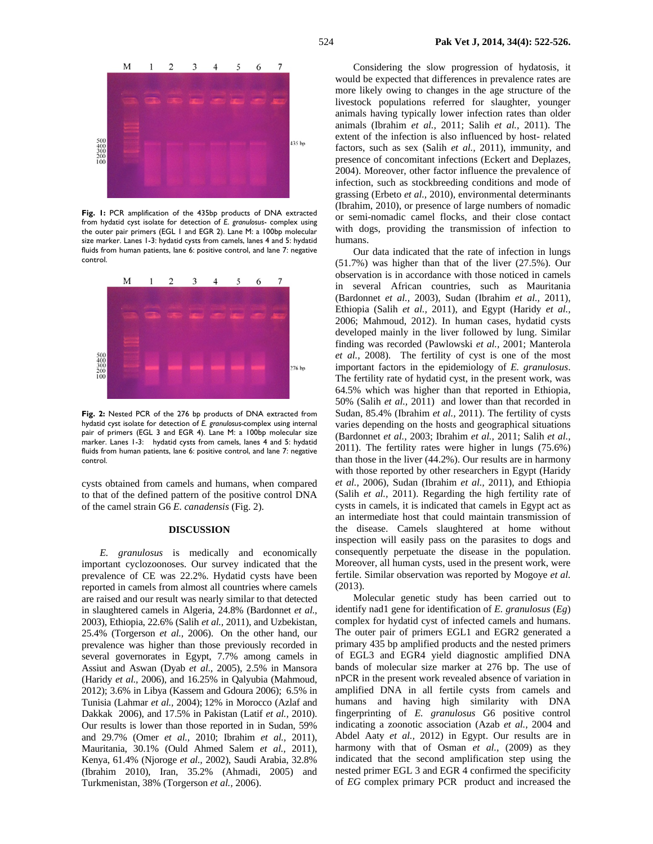

**Fig. 1:** PCR amplification of the 435bp products of DNA extracted from hydatid cyst isolate for detection of *E*. *granulosus*- complex using the outer pair primers (EGL 1 and EGR 2). Lane M: a 100bp molecular size marker. Lanes 1-3: hydatid cysts from camels, lanes 4 and 5: hydatid fluids from human patients, lane 6: positive control, and lane 7: negative control.



**Fig. 2:** Nested PCR of the 276 bp products of DNA extracted from hydatid cyst isolate for detection of *E. granulosus-*complex using internal pair of primers (EGL 3 and EGR 4). Lane M: a 100bp molecular size marker. Lanes 1-3: hydatid cysts from camels, lanes 4 and 5: hydatid fluids from human patients, lane 6: positive control, and lane 7: negative control.

cysts obtained from camels and humans, when compared to that of the defined pattern of the positive control DNA of the camel strain G6 *E. canadensis* (Fig. 2).

### **DISCUSSION**

*E. granulosus* is medically and economically important cyclozoonoses. Our survey indicated that the prevalence of CE was 22.2%. Hydatid cysts have been reported in camels from almost all countries where camels are raised and our result was nearly similar to that detected in slaughtered camels in Algeria, 24.8% (Bardonnet *et al.,*  2003), Ethiopia, 22.6% (Salih *et al.,* 2011), and Uzbekistan, 25.4% (Torgerson *et al.,* 2006). On the other hand, our prevalence was higher than those previously recorded in several governorates in Egypt, 7.7% among camels in Assiut and Aswan (Dyab *et al.,* 2005), 2.5% in Mansora (Haridy *et al.,* 2006), and 16.25% in Qalyubia (Mahmoud, 2012); 3.6% in Libya (Kassem and Gdoura 2006); 6.5% in Tunisia (Lahmar *et al.,* 2004); 12% in Morocco (Azlaf and Dakkak 2006), and 17.5% in Pakistan (Latif *et al.,* 2010). Our results is lower than those reported in in Sudan, 59% and 29.7% (Omer *et al.,* 2010; Ibrahim *et al.,* 2011), Mauritania, 30.1% (Ould Ahmed Salem *et al.,* 2011), Kenya, 61.4% (Njoroge *et al.,* 2002), Saudi Arabia, 32.8% (Ibrahim 2010), Iran, 35.2% (Ahmadi, 2005) and Turkmenistan, 38% (Torgerson *et al.,* 2006).

Considering the slow progression of hydatosis, it would be expected that differences in prevalence rates are more likely owing to changes in the age structure of the livestock populations referred for slaughter, younger animals having typically lower infection rates than older animals (Ibrahim *et al.,* 2011; Salih *et al.,* 2011). The extent of the infection is also influenced by host- related factors, such as sex (Salih *et al.,* 2011), immunity, and presence of concomitant infections (Eckert and Deplazes, 2004). Moreover, other factor influence the prevalence of infection, such as stockbreeding conditions and mode of grassing (Erbeto *et al.,* 2010), environmental determinants (Ibrahim, 2010), or presence of large numbers of nomadic or semi-nomadic camel flocks, and their close contact with dogs, providing the transmission of infection to humans.

Our data indicated that the rate of infection in lungs (51.7%) was higher than that of the liver (27.5%). Our observation is in accordance with those noticed in camels in several African countries, such as Mauritania (Bardonnet *et al.,* 2003), Sudan (Ibrahim *et al.,* 2011), Ethiopia (Salih *et al.,* 2011), and Egypt (Haridy *et al.,*  2006; Mahmoud, 2012). In human cases, hydatid cysts developed mainly in the liver followed by lung. Similar finding was recorded (Pawlowski *et al.,* 2001; Manterola *et al.,* 2008). The fertility of cyst is one of the most important factors in the epidemiology of *E. granulosus*. The fertility rate of hydatid cyst, in the present work, was 64.5% which was higher than that reported in Ethiopia, 50% (Salih *et al.,* 2011) and lower than that recorded in Sudan, 85.4% (Ibrahim *et al.,* 2011). The fertility of cysts varies depending on the hosts and geographical situations (Bardonnet *et al.,* 2003; Ibrahim *et al.,* 2011; Salih *et al.,*  2011). The fertility rates were higher in lungs (75.6%) than those in the liver (44.2%). Our results are in harmony with those reported by other researchers in Egypt (Haridy *et al.,* 2006), Sudan (Ibrahim *et al.,* 2011), and Ethiopia (Salih *et al.,* 2011). Regarding the high fertility rate of cysts in camels, it is indicated that camels in Egypt act as an intermediate host that could maintain transmission of the disease. Camels slaughtered at home without inspection will easily pass on the parasites to dogs and consequently perpetuate the disease in the population. Moreover, all human cysts, used in the present work, were fertile. Similar observation was reported by Mogoye *et al.*  (2013).

Molecular genetic study has been carried out to identify nad1 gene for identification of *E. granulosus* (*Eg*) complex for hydatid cyst of infected camels and humans. The outer pair of primers EGL1 and EGR2 generated a primary 435 bp amplified products and the nested primers of EGL3 and EGR4 yield diagnostic amplified DNA bands of molecular size marker at 276 bp. The use of nPCR in the present work revealed absence of variation in amplified DNA in all fertile cysts from camels and humans and having high similarity with DNA fingerprinting of *E. granulosus* G6 positive control indicating a zoonotic association (Azab *et al.,* 2004 and Abdel Aaty *et al.,* 2012) in Egypt. Our results are in harmony with that of Osman *et al.,* (2009) as they indicated that the second amplification step using the nested primer EGL 3 and EGR 4 confirmed the specificity of *EG* complex primary PCR product and increased the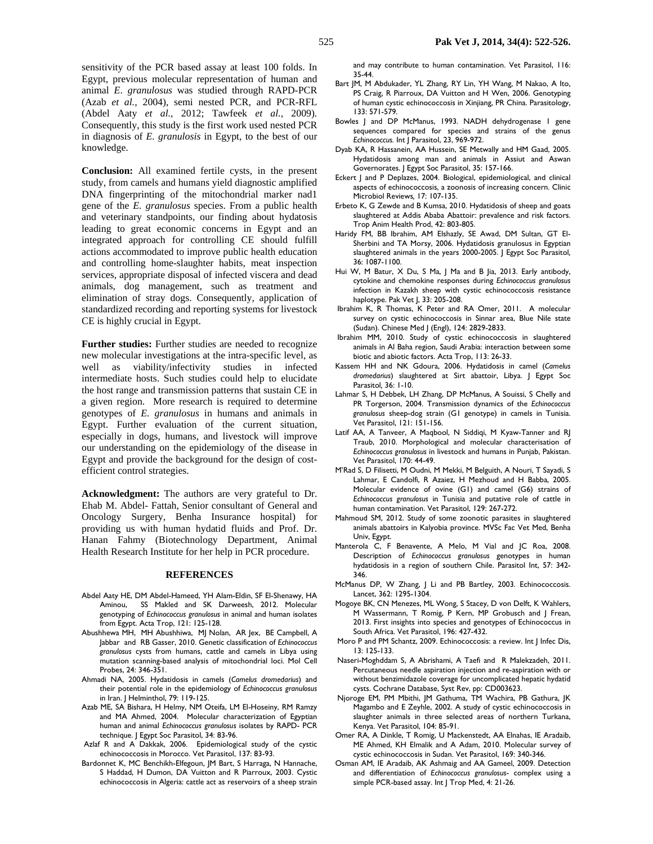sensitivity of the PCR based assay at least 100 folds. In Egypt, previous molecular representation of human and animal *E*. *granulosus* was studied through RAPD-PCR (Azab *et al.,* 2004), semi nested PCR, and PCR-RFL (Abdel Aaty *et al.,* 2012; Tawfeek *et al.,* 2009). Consequently, this study is the first work used nested PCR in diagnosis of *E. granulosis* in Egypt, to the best of our knowledge.

**Conclusion:** All examined fertile cysts, in the present study, from camels and humans yield diagnostic amplified DNA fingerprinting of the mitochondrial marker nad1 gene of the *E. granulosus* species. From a public health and veterinary standpoints, our finding about hydatosis leading to great economic concerns in Egypt and an integrated approach for controlling CE should fulfill actions accommodated to improve public health education and controlling home-slaughter habits, meat inspection services, appropriate disposal of infected viscera and dead animals, dog management, such as treatment and elimination of stray dogs. Consequently, application of standardized recording and reporting systems for livestock CE is highly crucial in Egypt.

**Further studies:** Further studies are needed to recognize new molecular investigations at the intra-specific level, as well as viability/infectivity studies in infected intermediate hosts. Such studies could help to elucidate the host range and transmission patterns that sustain CE in a given region. More research is required to determine genotypes of *E. granulosus* in humans and animals in Egypt. Further evaluation of the current situation, especially in dogs, humans, and livestock will improve our understanding on the epidemiology of the disease in Egypt and provide the background for the design of costefficient control strategies.

**Acknowledgment:** The authors are very grateful to Dr. Ehab M. Abdel- Fattah, Senior consultant of General and Oncology Surgery, Benha Insurance hospital) for providing us with human hydatid fluids and Prof. Dr. Hanan Fahmy (Biotechnology Department, Animal Health Research Institute for her help in PCR procedure.

#### **REFERENCES**

- Abdel Aaty HE, DM Abdel-Hameed, YH Alam-Eldin, SF El-Shenawy, HA Aminou, SS Makled and SK Darweesh, 2012. Molecular genotyping of *Echinococcus granulosus* in animal and human isolates from Egypt. Acta Trop, 121: 125-128.
- Abushhewa MH, MH Abushhiwa, MJ Nolan, AR Jex, BE Campbell, A Jabbar and RB Gasser, 2010. Genetic classification of *Echinococcus granulosus* cysts from humans, cattle and camels in Libya using mutation scanning-based analysis of mitochondrial loci. Mol Cell Probes, 24: 346-351.
- Ahmadi NA, 2005. Hydatidosis in camels (*Camelus dromedarius*) and their potential role in the epidemiology of *Echinococcus granulosus* in Iran. J Helminthol, 79: 119-125.
- Azab ME, SA Bishara, H Helmy, NM Oteifa, LM El-Hoseiny, RM Ramzy and MA Ahmed, 2004. Molecular characterization of Egyptian human and animal *Echinococcus granulosus* isolates by RAPD- PCR technique. J Egypt Soc Parasitol, 34: 83-96.
- Azlaf R and A Dakkak, 2006. Epidemiological study of the cystic echinococcosis in Morocco. Vet Parasitol, 137: 83-93.
- Bardonnet K, MC Benchikh-Elfegoun, JM Bart, S Harraga, N Hannache, S Haddad, H Dumon, DA Vuitton and R Piarroux, 2003. Cystic echinococcosis in Algeria: cattle act as reservoirs of a sheep strain

and may contribute to human contamination. Vet Parasitol, 116: 35-44.

- Bart JM, M Abdukader, YL Zhang, RY Lin, YH Wang, M Nakao, A Ito, PS Craig, R Piarroux, DA Vuitton and H Wen, 2006. Genotyping of human cystic echinococcosis in Xinjiang, PR China. Parasitology, 133: 571-579.
- Bowles | and DP McManus, 1993. NADH dehydrogenase | gene sequences compared for species and strains of the genus *Echinococcus.* Int J Parasitol, 23, 969-972.
- Dyab KA, R Hassanein, AA Hussein, SE Metwally and HM Gaad, 2005. Hydatidosis among man and animals in Assiut and Aswan Governorates. J Egypt Soc Parasitol, 35: 157-166.
- Eckert J and P Deplazes, 2004. Biological, epidemiological, and clinical aspects of echinococcosis, a zoonosis of increasing concern. Clinic Microbiol Reviews*,* 17: 107-135.
- Erbeto K, G Zewde and B Kumsa, 2010. Hydatidosis of sheep and goats slaughtered at Addis Ababa Abattoir: prevalence and risk factors. Trop Anim Health Prod, 42: 803-805.
- Haridy FM, BB Ibrahim, AM Elshazly, SE Awad, DM Sultan, GT El-Sherbini and TA Morsy, 2006. Hydatidosis granulosus in Egyptian slaughtered animals in the years 2000-2005. J Egypt Soc Parasitol*,*  36: 1087-1100.
- Hui W, M Batur, X Du, S Ma, J Ma and B Jia, 2013. Early antibody, cytokine and chemokine responses during *Echinococcus granulosus*  infection in Kazakh sheep with cystic echinococcosis resistance haplotype. Pak Vet J, 33: 205-208.
- Ibrahim K, R Thomas, K Peter and RA Omer, 2011. A molecular survey on cystic echinococcosis in Sinnar area, Blue Nile state (Sudan). Chinese Med J (Engl), 124: 2829-2833.
- Ibrahim MM, 2010. Study of cystic echinococcosis in slaughtered animals in Al Baha region, Saudi Arabia: interaction between some biotic and abiotic factors. Acta Trop, 113: 26-33.
- Kassem HH and NK Gdoura, 2006. Hydatidosis in camel (*Camelus dromedarius*) slaughtered at Sirt abattoir, Libya. J Egypt Soc Parasitol*,* 36: 1-10.
- Lahmar S, H Debbek, LH Zhang, DP McManus, A Souissi, S Chelly and PR Torgerson, 2004. Transmission dynamics of the *Echinococcus granulosus* sheep-dog strain (G1 genotype) in camels in Tunisia. Vet Parasitol, 121: 151-156.
- Latif AA, A Tanveer, A Maqbool, N Siddiqi, M Kyaw-Tanner and RJ Traub, 2010. Morphological and molecular characterisation of *Echinococcus granulosus* in livestock and humans in Punjab, Pakistan. Vet Parasitol, 170: 44-49.
- M'Rad S, D Filisetti, M Oudni, M Mekki, M Belguith, A Nouri, T Sayadi, S Lahmar, E Candolfi, R Azaiez, H Mezhoud and H Babba, 2005. Molecular evidence of ovine (G1) and camel (G6) strains of *Echinococcus granulosus* in Tunisia and putative role of cattle in human contamination. Vet Parasitol, 129: 267-272.
- Mahmoud SM, 2012. Study of some zoonotic parasites in slaughtered animals abattoirs in Kalyobia province. MVSc Fac Vet Med, Benha Univ, Egypt.
- Manterola C, F Benavente, A Melo, M Vial and JC Roa, 2008. Description of *Echinococcus granulosus* genotypes in human hydatidosis in a region of southern Chile. Parasitol Int, 57: 342- 346.
- McManus DP, W Zhang, J Li and PB Bartley, 2003. Echinococcosis. Lancet, 362: 1295-1304.
- Mogoye BK, CN Menezes, ML Wong, S Stacey, D von Delft, K Wahlers, M Wassermann, T Romig, P Kern, MP Grobusch and J Frean, 2013. First insights into species and genotypes of Echinococcus in South Africa. Vet Parasitol, 196: 427-432.
- Moro P and PM Schantz, 2009. Echinococcosis: a review. Int J Infec Dis, 13: 125-133.
- Naseri-Moghddam S, A Abrishami, A Taefi and R Malekzadeh, 2011. Percutaneous needle aspiration injection and re-aspiration with or without benzimidazole coverage for uncomplicated hepatic hydatid cysts. Cochrane Database, Syst Rev, pp: CD003623.
- Njoroge EM, PM Mbithi, JM Gathuma, TM Wachira, PB Gathura, JK Magambo and E Zeyhle, 2002. A study of cystic echinococcosis in slaughter animals in three selected areas of northern Turkana, Kenya. Vet Parasitol, 104: 85-91.
- Omer RA, A Dinkle, T Romig, U Mackenstedt, AA Elnahas, IE Aradaib, ME Ahmed, KH Elmalik and A Adam, 2010. Molecular survey of cystic echinococcosis in Sudan. Vet Parasitol, 169: 340-346.
- Osman AM, IE Aradaib, AK Ashmaig and AA Gameel, 2009. Detection and differentiation of *Echinococcus granulosus*- complex using a simple PCR-based assay. Int | Trop Med, 4: 21-26.